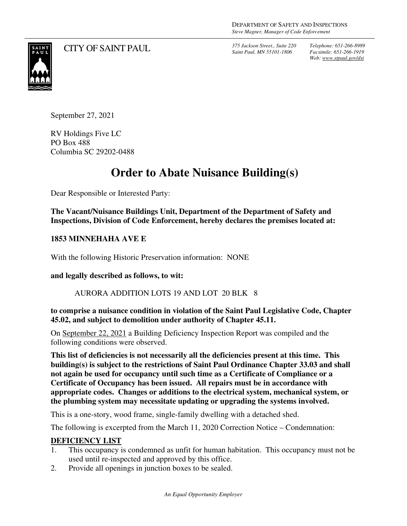CITY OF SAINT PAUL *375 Jackson Street., Suite 220* 

*Saint Paul, MN 55101-1806*

*Telephone: 651-266-8989 Facsimile: 651-266-1919 Web: www.stpaul.gov/dsi*



September 27, 2021

RV Holdings Five LC PO Box 488 Columbia SC 29202-0488

## **Order to Abate Nuisance Building(s)**

Dear Responsible or Interested Party:

**The Vacant/Nuisance Buildings Unit, Department of the Department of Safety and Inspections, Division of Code Enforcement, hereby declares the premises located at:** 

## **1853 MINNEHAHA AVE E**

With the following Historic Preservation information: NONE

**and legally described as follows, to wit:** 

## AURORA ADDITION LOTS 19 AND LOT 20 BLK 8

**to comprise a nuisance condition in violation of the Saint Paul Legislative Code, Chapter 45.02, and subject to demolition under authority of Chapter 45.11.** 

On September 22, 2021 a Building Deficiency Inspection Report was compiled and the following conditions were observed.

**This list of deficiencies is not necessarily all the deficiencies present at this time. This building(s) is subject to the restrictions of Saint Paul Ordinance Chapter 33.03 and shall not again be used for occupancy until such time as a Certificate of Compliance or a Certificate of Occupancy has been issued. All repairs must be in accordance with appropriate codes. Changes or additions to the electrical system, mechanical system, or the plumbing system may necessitate updating or upgrading the systems involved.** 

This is a one-story, wood frame, single-family dwelling with a detached shed.

The following is excerpted from the March 11, 2020 Correction Notice – Condemnation:

## **DEFICIENCY LIST**

- 1. This occupancy is condemned as unfit for human habitation. This occupancy must not be used until re-inspected and approved by this office.
- 2. Provide all openings in junction boxes to be sealed.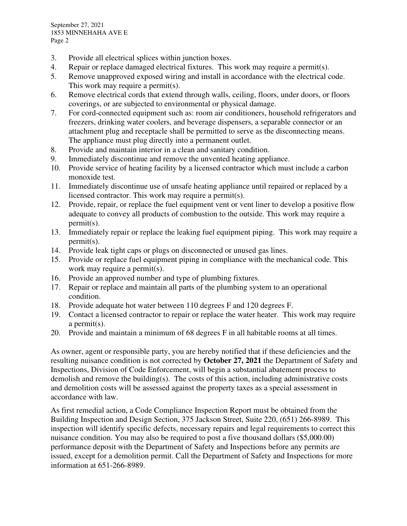September 27, 2021 1853 MINNEHAHA AVE E Page 2

- 3. Provide all electrical splices within junction boxes.
- 4. Repair or replace damaged electrical fixtures. This work may require a permit(s).
- 5. Remove unapproved exposed wiring and install in accordance with the electrical code. This work may require a permit(s).
- 6. Remove electrical cords that extend through walls, ceiling, floors, under doors, or floors coverings, or are subjected to environmental or physical damage.
- 7. For cord-connected equipment such as: room air conditioners, household refrigerators and freezers, drinking water coolers, and beverage dispensers, a separable connector or an attachment plug and receptacle shall be permitted to serve as the disconnecting means. The appliance must plug directly into a permanent outlet.
- 8. Provide and maintain interior in a clean and sanitary condition.
- 9. Immediately discontinue and remove the unvented heating appliance.
- 10. Provide service of heating facility by a licensed contractor which must include a carbon monoxide test.
- 11. Immediately discontinue use of unsafe heating appliance until repaired or replaced by a licensed contractor. This work may require a permit(s).
- 12. Provide, repair, or replace the fuel equipment vent or vent liner to develop a positive flow adequate to convey all products of combustion to the outside. This work may require a permit(s).
- 13. Immediately repair or replace the leaking fuel equipment piping. This work may require a permit(s).
- 14. Provide leak tight caps or plugs on disconnected or unused gas lines.
- 15. Provide or replace fuel equipment piping in compliance with the mechanical code. This work may require a permit (s).
- 16. Provide an approved number and type of plumbing fixtures.
- 17. Repair or replace and maintain all parts of the plumbing system to an operational condition.
- 18. Provide adequate hot water between 110 degrees F and 120 degrees F.
- 19. Contact a licensed contractor to repair or replace the water heater. This work may require a permit(s).
- 20. Provide and maintain a minimum of 68 degrees F in all habitable rooms at all times.

As owner, agent or responsible party, you are hereby notified that if these deficiencies and the resulting nuisance condition is not corrected by **October 27, 2021** the Department of Safety and Inspections, Division of Code Enforcement, will begin a substantial abatement process to demolish and remove the building(s). The costs of this action, including administrative costs and demolition costs will be assessed against the property taxes as a special assessment in accordance with law.

As first remedial action, a Code Compliance Inspection Report must be obtained from the Building Inspection and Design Section, 375 Jackson Street, Suite 220, (651) 266-8989. This inspection will identify specific defects, necessary repairs and legal requirements to correct this nuisance condition. You may also be required to post a five thousand dollars (\$5,000.00) performance deposit with the Department of Safety and Inspections before any permits are issued, except for a demolition permit. Call the Department of Safety and Inspections for more information at 651-266-8989.